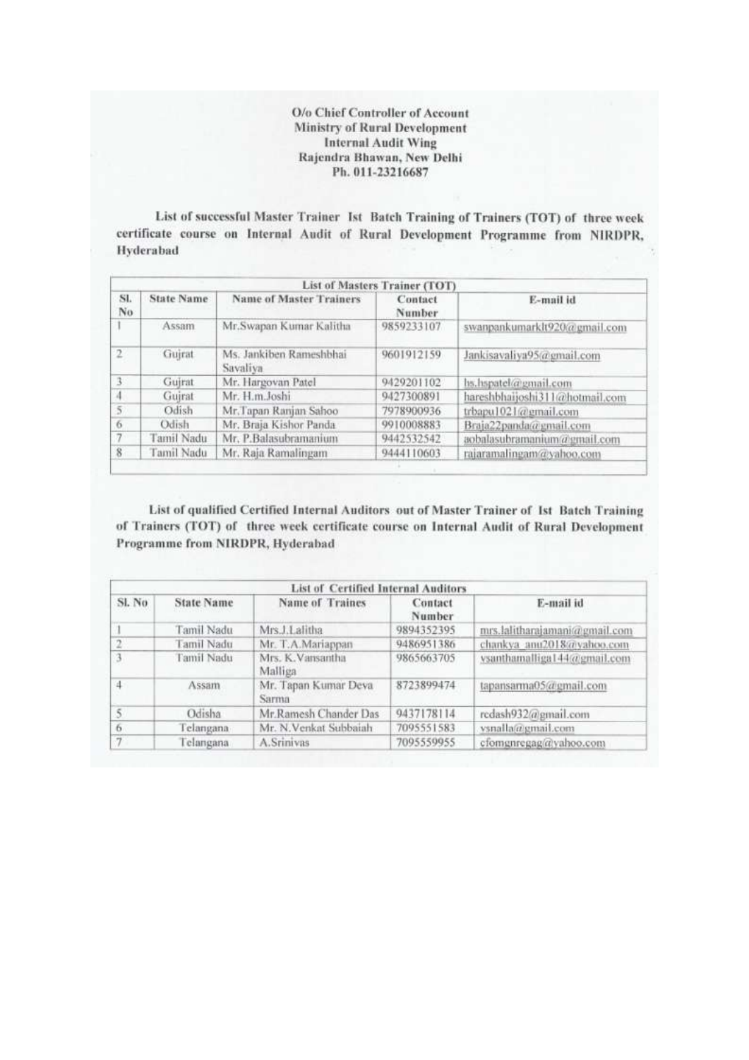O/o Chief Controller of Account **Ministry of Rural Development Internal Audit Wing** Rajendra Bhawan, New Delhi Ph. 011-23216687

List of successful Master Trainer Ist Batch Training of Trainers (TOT) of three week certificate course on Internal Audit of Rural Development Programme from NIRDPR, Hyderabad

| List of Masters Trainer (TOT) |                   |                                     |                   |                                |  |  |  |
|-------------------------------|-------------------|-------------------------------------|-------------------|--------------------------------|--|--|--|
| SI.<br>No                     | <b>State Name</b> | <b>Name of Master Trainers</b>      | Contact<br>Number | E-mail id                      |  |  |  |
|                               | Assam             | Mr.Swapan Kumar Kalitha             | 9859233107        | swanpankumarklt920@gmail.com   |  |  |  |
| $\overline{2}$                | Gujrat            | Ms. Jankiben Rameshbhai<br>Savaliya | 9601912159        | Jankisavaliya95@gmail.com      |  |  |  |
| 3                             | Guirat            | Mr. Hargovan Patel                  | 9429201102        | hs.hspatel@gmail.com           |  |  |  |
|                               | Guirat            | Mr. H.m.Joshi                       | 9427300891        | hareshbhaijoshi311@hotmail.com |  |  |  |
| $\tilde{S}$                   | Odish             | Mr.Tapan Ranjan Sahoo               | 7978900936        | trbapu1021@gmail.com           |  |  |  |
| 6                             | Odish             | Mr. Braja Kishor Panda              | 9910008883        | Braja22panda@gmail.com         |  |  |  |
| $\overline{7}$                | Tamil Nadu        | Mr. P.Balasubramanium               | 9442532542        | aobalasubramanium@gmail.com    |  |  |  |
| 8                             | Tamil Nadu        | Mr. Raja Ramalingam                 | 9444110603        | rajaramalingam@yahoo.com       |  |  |  |

List of qualified Certified Internal Auditors out of Master Trainer of Ist Batch Training of Trainers (TOT) of three week certificate course on Internal Audit of Rural Development Programme from NIRDPR, Hyderabad

| <b>List of Certified Internal Auditors</b> |                   |                               |                   |                               |  |  |
|--------------------------------------------|-------------------|-------------------------------|-------------------|-------------------------------|--|--|
| SI. No                                     | <b>State Name</b> | Name of Traines               | Contact<br>Number | E-mail id                     |  |  |
|                                            | Tamil Nadu        | Mrs.J.Lalitha                 | 9894352395        | mrs.lalitharajamani@gmail.com |  |  |
| $\overline{2}$                             | Tamil Nadu        | Mr. T.A.Mariappan             | 9486951386        | chankya anu2018@yahoo.com     |  |  |
| 3                                          | Tamil Nadu        | Mrs. K. Vansantha<br>Malliga  | 9865663705        | ysanthamalliga144@gmail.com   |  |  |
| 4                                          | <b>Assam</b>      | Mr. Tapan Kumar Deva<br>Sarma | 8723899474        | tapansarma05@gmail.com        |  |  |
| 5                                          | Odisha            | Mr.Ramesh Chander Das         | 9437178114        | redash932@gmail.com           |  |  |
| 6                                          | Telangana         | Mr. N. Venkat Subbaiah        | 7095551583        | vsnalla@gmail.com             |  |  |
| 7                                          | Telangana         | A.Srinivas                    | 7095559955        | cfomgnregag@yahoo.com         |  |  |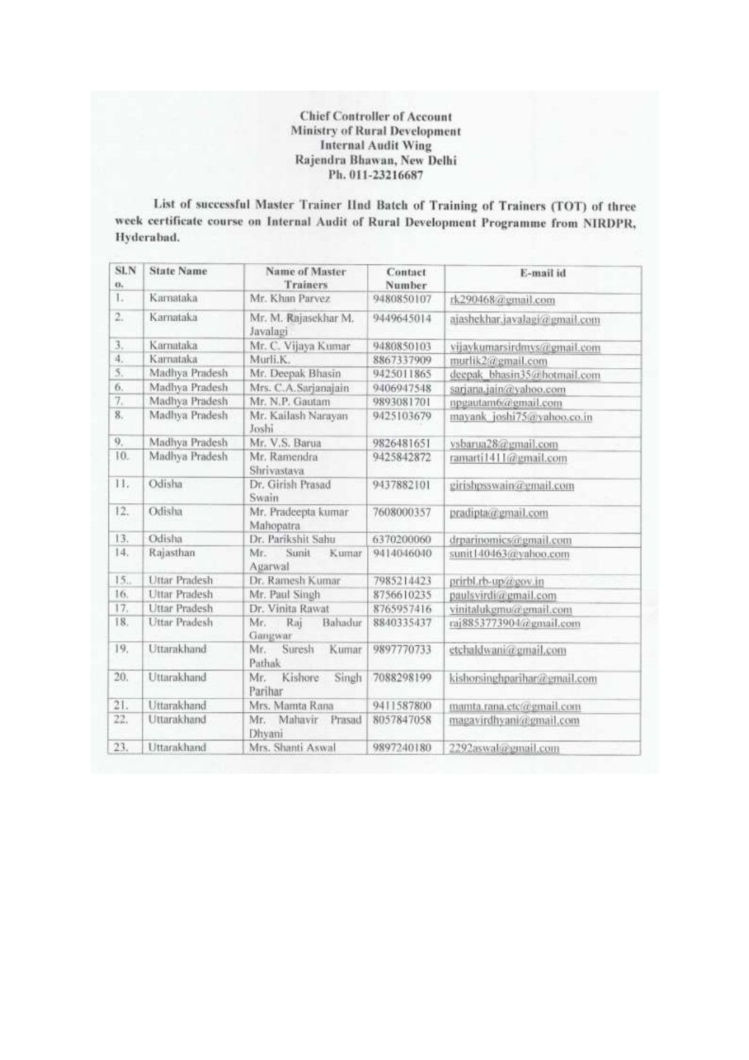**Chief Controller of Account Ministry of Rural Development Internal Audit Wing** Rajendra Bhawan, New Delhi Ph. 011-23216687

List of successful Master Trainer IInd Batch of Training of Trainers (TOT) of three week certificate course on Internal Audit of Rural Development Programme from NIRDPR, Hyderabad.

| SLN<br>$\mathbf{0}$ | <b>State Name</b>    | <b>Name of Master</b><br><b>Trainers</b> | Contact<br>Number | E-mail id                     |
|---------------------|----------------------|------------------------------------------|-------------------|-------------------------------|
| L.                  | Karnataka            | Mr. Khan Parvez                          | 9480850107        | rk290468@gmail.com            |
| $\overline{2}$ .    | Karnataka            | Mr. M. Rajasekhar M.<br>Javalagi         | 9449645014        | ajashekhar.javalagi@gmail.com |
| 3.                  | Karnataka            | Mr. C. Vijaya Kumar                      | 9480850103        | vijaykumarsirdmys@gmail.com   |
| 4.                  | Karnataka            | Murli.K.                                 | 8867337909        | murlik2@gmail.com             |
| $\overline{5}$ .    | Madhya Pradesh       | Mr. Deepak Bhasin                        | 9425011865        | deepak bhasin35@hotmail.com   |
| 6.                  | Madhya Pradesh       | Mrs. C.A.Sarjanajain                     | 9406947548        | sarjana.jain@yahoo.com        |
| 7.                  | Madhya Pradesh       | Mr. N.P. Gautam                          | 9893081701        | npgautam6@gmail.com           |
| 8.                  | Madhya Pradesh       | Mr. Kailash Narayan<br>Joshi             | 9425103679        | mayank joshi75@yahoo.co.in    |
| 9.                  | Madhya Pradesh       | Mr. V.S. Barua                           | 9826481651        | vsbarua28@gmail.com           |
| 10.                 | Madhya Pradesh       | Mr. Ramendra<br>Shrivastava              | 9425842872        | ramarti1411@gmail.com         |
| 11.                 | Odisha               | Dr. Girish Prasad<br>Swain               | 9437882101        | girishpsswain@gmail.com       |
| 12.                 | Odisha               | Mr. Pradeepta kumar<br>Mahopatra         | 7608000357        | pradipta@gmail.com            |
| 13.                 | Odisha               | Dr. Parikshit Sahu                       | 6370200060        | drparinomics@gmail.com        |
| 14.                 | Rajasthan            | Mr.<br>Sunit<br>Kumar<br>Agarwal         | 9414046040        | sunit140463@yahoo.com         |
| 15.                 | <b>Uttar Pradesh</b> | Dr. Ramesh Kumar                         | 7985214423        | prirbl.rb-up@gov.in           |
| 16.                 | Uttar Pradesh        | Mr. Paul Singh                           | 8756610235        | paulsvirdi@gmail.com          |
| 17.                 | Uttar Pradesh        | Dr. Vinita Rawat                         | 8765957416        | vinitalukemu@email.com        |
| 18.                 | Uttar Pradesh        | Bahadur<br>Mr.<br>Raj<br>Gangwar         | 8840335437        | raj8853773904@gmail.com       |
| 19.                 | Uttarakhand          | Suresh<br>Kumar<br>Mr.<br>Pathak         | 9897770733        | etchaldwani@gmail.com         |
| 20.                 | Uttarakhand          | Mr.<br>Kishore<br>Singh<br>Parihar       | 7088298199        | kishorsinghparihar@gmail.com  |
| 21.                 | Uttarakhand          | Mrs. Mamta Rana                          | 9411587800        | mamta.rana.etc@gmail.com      |
| 22.                 | Uttarakhand          | Mr. Mahavir Prasad<br>Dhvani             | 8057847058        | magavirdhyani@gmail.com       |
| 23.                 | Uttarakhand          | Mrs. Shanti Aswal                        | 9897240180        | 2292aswal@gmail.com           |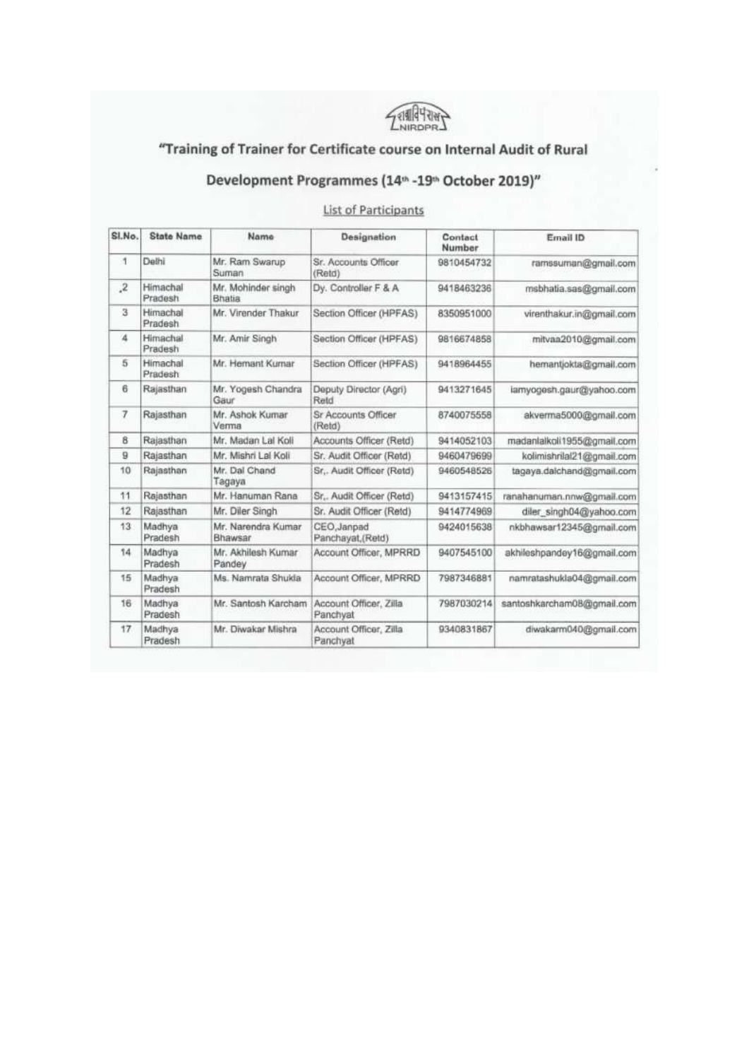

## "Training of Trainer for Certificate course on Internal Audit of Rural

## Development Programmes (14<sup>th</sup> -19<sup>th</sup> October 2019)"

**List of Participants** 

| SI.No.    | <b>State Name</b>   | Name                          | Designation                        | Contact<br>Number | Email ID                   |
|-----------|---------------------|-------------------------------|------------------------------------|-------------------|----------------------------|
| 1         | Delhi               | Mr. Ram Swarup<br>Suman       | Sr. Accounts Officer<br>(Retd)     | 9810454732        | ramssuman@gmail.com        |
| $\cdot^2$ | Himachal<br>Pradesh | Mr. Mohinder singh<br>Bhatia  | Dy. Controller F & A               | 9418463236        | msbhatia.sas@gmail.com     |
| 3         | Himachal<br>Pradesh | Mr. Virender Thakur           | Section Officer (HPFAS)            | 8350951000        | virenthakur.in@gmail.com   |
| $\Delta$  | Himachal<br>Pradesh | Mr. Amir Singh                | Section Officer (HPFAS)            | 9816674858        | mitvaa2010@gmail.com       |
| 5         | Himachal<br>Pradesh | Mr. Hemant Kurnar             | Section Officer (HPFAS)            | 9418964455        | hemantjokta@gmail.com      |
| 6         | Rajasthan           | Mr. Yogesh Chandra<br>Gaur    | Deputy Director (Agri)<br>Reld     | 9413271645        | lamyogesh.gaur@yahoo.com   |
| 7         | Rajasthan           | Mr. Ashok Kumar<br>Verma      | Sr Accounts Officer<br>(Retd)      | 8740075558        | akverma5000@gmail.com      |
| 8         | Rajasthan           | Mr. Madan Lal Koli            | Accounts Officer (Retd)            | 9414052103        | madanlalkoli1955@gmail.com |
| 9         | Rajasthan           | Mr. Mishri Lal Koli           | Sr. Audit Officer (Retd)           | 9460479699        | kolimishrilal21@gmail.com  |
| 10        | Rajasthan           | Mr. Dal Chand<br>Tagaya       | Sr., Audit Officer (Retd)          | 9460548526        | tagaya.dalchand@gmail.com  |
| 11        | Rajasthan           | Mr. Hanuman Rana              | Sr., Audit Officer (Retd)          | 9413157415        | ranahanuman.nnw@gmail.com  |
| 12        | Rajasthan           | Mr. Diler Singh               | Sr. Audit Officer (Retd)           | 9414774969        | diler_singh04@yahoo.com    |
| 13        | Madhya<br>Pradesh   | Mr. Narendra Kumar<br>Bhawsar | CEO, Janpad<br>Panchayat, (Retd)   | 9424015638        | nkbhawsar12345@gmail.com   |
| 14        | Madhya<br>Pradesh   | Mr. Akhilesh Kumar<br>Pandey  | Account Officer, MPRRD             | 9407545100        | akhileshpandey16@gmail.com |
| 15        | Madhya<br>Pradesh   | Ms. Namrata Shukla            | Account Officer, MPRRD             | 7987346881        | namratashukla04@gmail.com  |
| 16        | Madhya<br>Pradesh   | Mr. Santosh Karcham           | Account Officer, Zilla<br>Panchyat | 7987030214        | santoshkarcham08@gmail.com |
| 17        | Madhya<br>Pradesh   | Mr. Diwakar Mishra            | Account Officer, Zilla<br>Panchyat | 9340831867        | diwakarm040@gmail.com      |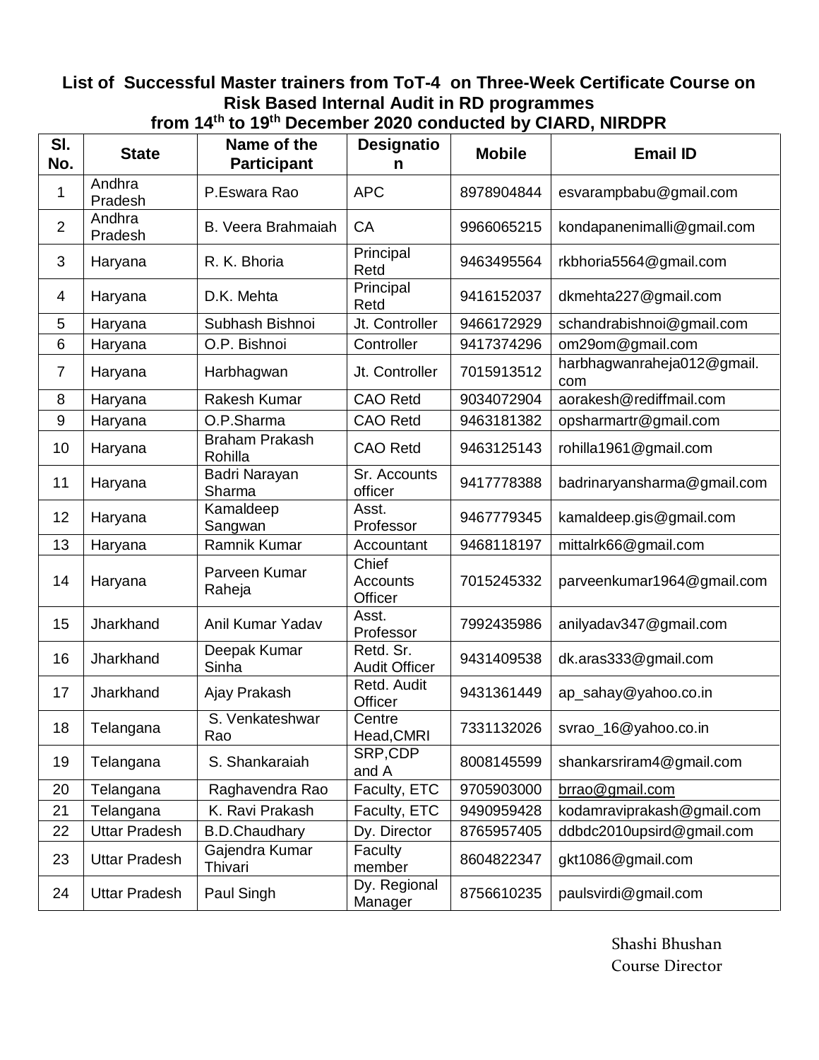## **List of Successful Master trainers from ToT-4 on Three-Week Certificate Course on Risk Based Internal Audit in RD programmes from 14th to 19th December 2020 conducted by CIARD, NIRDPR**

| SI.              |                      | Name of the                      | <b>Designatio</b>                 |               | DUUUNU LULU UUNUUUU DY UINND, MINDI IN |
|------------------|----------------------|----------------------------------|-----------------------------------|---------------|----------------------------------------|
| No.              | <b>State</b>         | <b>Participant</b>               | n                                 | <b>Mobile</b> | <b>Email ID</b>                        |
| 1                | Andhra<br>Pradesh    | P.Eswara Rao                     | <b>APC</b>                        | 8978904844    | esvarampbabu@gmail.com                 |
| $\overline{2}$   | Andhra<br>Pradesh    | B. Veera Brahmaiah               | CA                                | 9966065215    | kondapanenimalli@gmail.com             |
| 3                | Haryana              | R. K. Bhoria                     | Principal<br>Retd                 | 9463495564    | rkbhoria5564@gmail.com                 |
| 4                | Haryana              | D.K. Mehta                       | Principal<br>Retd                 | 9416152037    | dkmehta227@gmail.com                   |
| 5                | Haryana              | Subhash Bishnoi                  | Jt. Controller                    | 9466172929    | schandrabishnoi@gmail.com              |
| 6                | Haryana              | O.P. Bishnoi                     | Controller                        | 9417374296    | om29om@gmail.com                       |
| $\overline{7}$   | Haryana              | Harbhagwan                       | Jt. Controller                    | 7015913512    | harbhagwanraheja012@gmail.<br>com      |
| 8                | Haryana              | Rakesh Kumar                     | <b>CAO Retd</b>                   | 9034072904    | aorakesh@rediffmail.com                |
| $\boldsymbol{9}$ | Haryana              | O.P.Sharma                       | <b>CAO Retd</b>                   | 9463181382    | opsharmartr@gmail.com                  |
| 10               | Haryana              | <b>Braham Prakash</b><br>Rohilla | <b>CAO Retd</b>                   | 9463125143    | rohilla1961@gmail.com                  |
| 11               | Haryana              | Badri Narayan<br>Sharma          | Sr. Accounts<br>officer           | 9417778388    | badrinaryansharma@gmail.com            |
| 12               | Haryana              | Kamaldeep<br>Sangwan             | Asst.<br>Professor                | 9467779345    | kamaldeep.gis@gmail.com                |
| 13               | Haryana              | Ramnik Kumar                     | Accountant                        | 9468118197    | mittalrk66@gmail.com                   |
| 14               | Haryana              | Parveen Kumar<br>Raheja          | Chief<br>Accounts<br>Officer      | 7015245332    | parveenkumar1964@gmail.com             |
| 15               | Jharkhand            | Anil Kumar Yadav                 | Asst.<br>Professor                | 7992435986    | anilyadav347@gmail.com                 |
| 16               | Jharkhand            | Deepak Kumar<br>Sinha            | Retd. Sr.<br><b>Audit Officer</b> | 9431409538    | dk.aras333@gmail.com                   |
| 17               | Jharkhand            | Ajay Prakash                     | Retd. Audit<br>Officer            | 9431361449    | ap_sahay@yahoo.co.in                   |
| 18               | Telangana            | S. Venkateshwar<br>Rao           | Centre<br>Head, CMRI              | 7331132026    | svrao_16@yahoo.co.in                   |
| 19               | Telangana            | S. Shankaraiah                   | SRP,CDP<br>and A                  | 8008145599    | shankarsriram4@gmail.com               |
| 20               | Telangana            | Raghavendra Rao                  | Faculty, ETC                      | 9705903000    | brrao@gmail.com                        |
| 21               | Telangana            | K. Ravi Prakash                  | Faculty, ETC                      | 9490959428    | kodamraviprakash@gmail.com             |
| 22               | <b>Uttar Pradesh</b> | <b>B.D.Chaudhary</b>             | Dy. Director                      | 8765957405    | ddbdc2010upsird@gmail.com              |
| 23               | <b>Uttar Pradesh</b> | Gajendra Kumar<br>Thivari        | Faculty<br>member                 | 8604822347    | gkt1086@gmail.com                      |
| 24               | <b>Uttar Pradesh</b> | Paul Singh                       | Dy. Regional<br>Manager           | 8756610235    | paulsvirdi@gmail.com                   |

Shashi Bhushan Course Director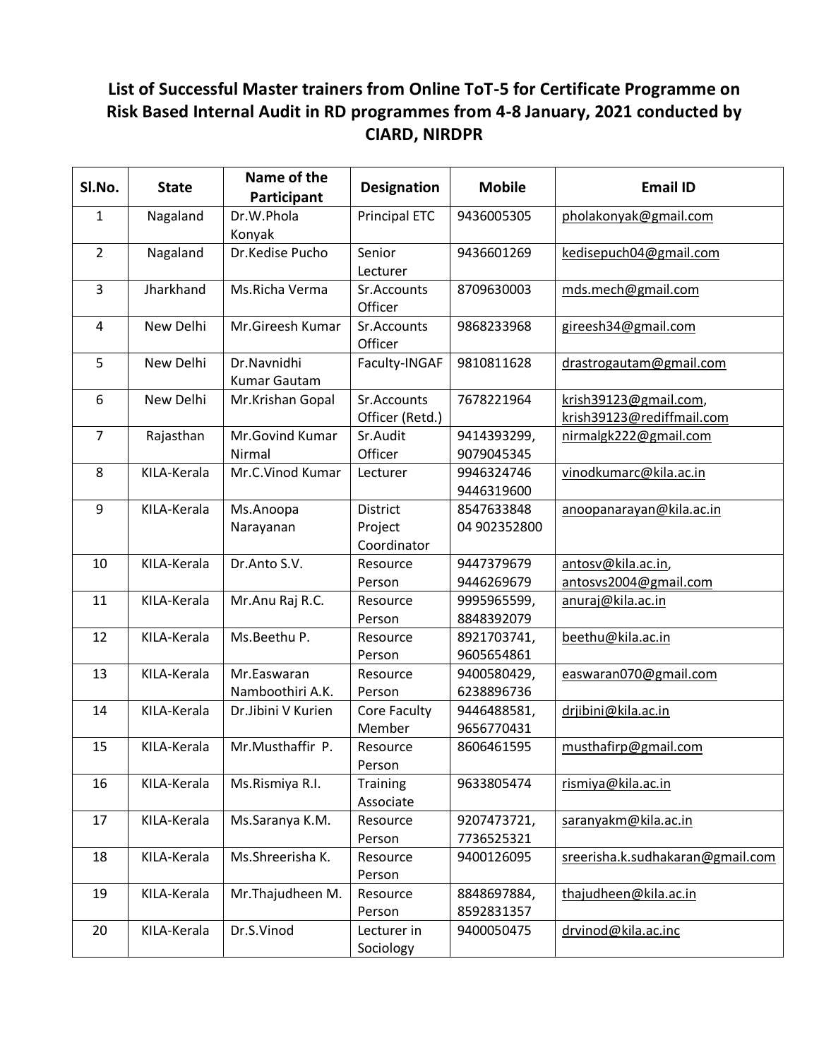## **List of Successful Master trainers from Online ToT-5 for Certificate Programme on Risk Based Internal Audit in RD programmes from 4-8 January, 2021 conducted by CIARD, NIRDPR**

| SI.No.         | <b>State</b> | Name of the<br>Participant      | <b>Designation</b>                 | <b>Mobile</b>              | <b>Email ID</b>                                    |
|----------------|--------------|---------------------------------|------------------------------------|----------------------------|----------------------------------------------------|
| $\mathbf{1}$   | Nagaland     | Dr.W.Phola<br>Konyak            | <b>Principal ETC</b>               | 9436005305                 | pholakonyak@gmail.com                              |
| $\overline{2}$ | Nagaland     | Dr.Kedise Pucho                 | Senior<br>Lecturer                 | 9436601269                 | kedisepuch04@gmail.com                             |
| 3              | Jharkhand    | Ms.Richa Verma                  | Sr.Accounts<br>Officer             | 8709630003                 | mds.mech@gmail.com                                 |
| 4              | New Delhi    | Mr.Gireesh Kumar                | Sr.Accounts<br>Officer             | 9868233968                 | gireesh34@gmail.com                                |
| 5              | New Delhi    | Dr.Navnidhi<br>Kumar Gautam     | Faculty-INGAF                      | 9810811628                 | drastrogautam@gmail.com                            |
| 6              | New Delhi    | Mr.Krishan Gopal                | Sr.Accounts<br>Officer (Retd.)     | 7678221964                 | krish39123@gmail.com,<br>krish39123@rediffmail.com |
| $\overline{7}$ | Rajasthan    | Mr.Govind Kumar<br>Nirmal       | Sr.Audit<br>Officer                | 9414393299,<br>9079045345  | nirmalgk222@gmail.com                              |
| 8              | KILA-Kerala  | Mr.C.Vinod Kumar                | Lecturer                           | 9946324746<br>9446319600   | vinodkumarc@kila.ac.in                             |
| 9              | KILA-Kerala  | Ms.Anoopa<br>Narayanan          | District<br>Project<br>Coordinator | 8547633848<br>04 902352800 | anoopanarayan@kila.ac.in                           |
| 10             | KILA-Kerala  | Dr.Anto S.V.                    | Resource<br>Person                 | 9447379679<br>9446269679   | antosv@kila.ac.in,<br>antosvs2004@gmail.com        |
| 11             | KILA-Kerala  | Mr.Anu Raj R.C.                 | Resource<br>Person                 | 9995965599,<br>8848392079  | anuraj@kila.ac.in                                  |
| 12             | KILA-Kerala  | Ms.Beethu P.                    | Resource<br>Person                 | 8921703741,<br>9605654861  | beethu@kila.ac.in                                  |
| 13             | KILA-Kerala  | Mr.Easwaran<br>Namboothiri A.K. | Resource<br>Person                 | 9400580429,<br>6238896736  | easwaran070@gmail.com                              |
| 14             | KILA-Kerala  | Dr.Jibini V Kurien              | Core Faculty<br>Member             | 9446488581,<br>9656770431  | drjibini@kila.ac.in                                |
| 15             | KILA-Kerala  | Mr.Musthaffir P.                | Resource<br>Person                 | 8606461595                 | musthafirp@gmail.com                               |
| 16             | KILA-Kerala  | Ms.Rismiya R.I.                 | Training<br>Associate              | 9633805474                 | rismiya@kila.ac.in                                 |
| 17             | KILA-Kerala  | Ms.Saranya K.M.                 | Resource<br>Person                 | 9207473721,<br>7736525321  | saranyakm@kila.ac.in                               |
| 18             | KILA-Kerala  | Ms.Shreerisha K.                | Resource<br>Person                 | 9400126095                 | sreerisha.k.sudhakaran@gmail.com                   |
| 19             | KILA-Kerala  | Mr. Thajudheen M.               | Resource<br>Person                 | 8848697884,<br>8592831357  | thajudheen@kila.ac.in                              |
| 20             | KILA-Kerala  | Dr.S.Vinod                      | Lecturer in<br>Sociology           | 9400050475                 | drvinod@kila.ac.inc                                |